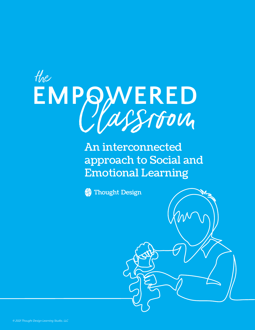

An interconnected approach to Social and Emotional Learning

**Star** Thought Design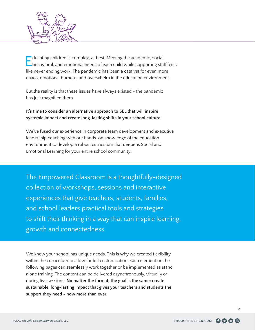

Educating children is complex, at best. Meeting the academic, social, behavioral, and emotional needs of each child while supporting staff feels like never ending work. The pandemic has been a catalyst for even more chaos, emotional burnout, and overwhelm in the education environment.

But the reality is that these issues have always existed - the pandemic has just magnified them.

**It's time to consider an alternative approach to SEL that will inspire systemic impact and create long-lasting shifts in your school culture.**

We've fused our experience in corporate team development and executive leadership coaching with our hands-on knowledge of the education environment to develop a robust curriculum that deepens Social and Emotional Learning for your entire school community.

The Empowered Classroom is a thoughtfully-designed collection of workshops, sessions and interactive experiences that give teachers, students, families, and school leaders practical tools and strategies to shift their thinking in a way that can inspire learning, growth and connectedness.

We know your school has unique needs. This is why we created flexibility within the curriculum to allow for full customization. Each element on the following pages can seamlessly work together or be implemented as stand alone training. The content can be delivered asynchronously, virtually or during live sessions. **No matter the format, the goal is the same: create sustainable, long-lasting impact that gives your teachers and students the support they need - now more than ever.**

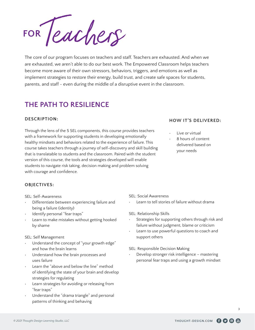**FOR***Teachers*

The core of our program focuses on teachers and staff. Teachers are exhausted. And when we are exhausted, we aren't able to do our best work. The Empowered Classroom helps teachers become more aware of their own stressors, behaviors, triggers, and emotions as well as implement strategies to restore their energy, build trust, and create safe spaces for students, parents, and staff - even during the middle of a disruptive event in the classroom.

## **THE PATH TO RESILIENCE**

#### **DESCRIPTION:**

Through the lens of the 5 SEL components, this course provides teachers with a framework for supporting students in developing emotionally healthy mindsets and behaviors related to the experience of failure. This course takes teachers through a journey of self-discovery and skill building that is translatable to students and the classroom. Paired with the student version of this course, the tools and strategies developed will enable students to navigate risk taking, decision making and problem solving with courage and confidence.

#### **HOW IT'S DELIVERED:**

- Live or virtual
- 8 hours of content delivered based on your needs

#### **OBJECTIVES:**

SEL: Self-Awareness

- Differentiate between experiencing failure and being a failure (identity)
- Identify personal "fear traps"
- Learn to make mistakes without getting hooked by shame

#### SEL: Self Management

- Understand the concept of "your growth edge" and how the brain learns
- Understand how the brain processes and uses failure
- Learn the "above and below the line" method of identifying the state of your brain and develop strategies for regulating
- Learn strategies for avoiding or releasing from "fear traps"
- Understand the "drama triangle" and personal patterns of thinking and behaving

#### SEL: Social Awareness

- Learn to tell stories of failure without drama
- SEL: Relationship Skills
- Strategies for supporting others through risk and failure without judgment, blame or criticism
- Learn to use powerful questions to coach and support others

SEL: Responsible Decision Making

• Develop stronger risk intelligence – mastering personal fear traps and using a growth mindset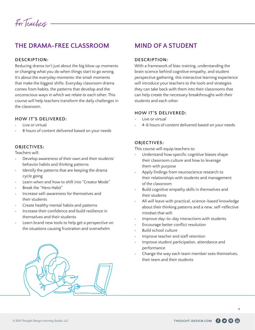*For Teachers*

## **THE DRAMA-FREE CLASSROOM**

#### **DESCRIPTION:**

Reducing drama isn't just about the big blow up moments or changing what you do when things start to go wrong. It's about the everyday moments: the small moments that make the biggest shifts. Everyday classroom drama comes from habits, the patterns that develop and the unconscious ways in which we relate to each other. This course will help teachers transform the daily challenges in the classroom.

#### **HOW IT'S DELIVERED:**

- Live or virtual
- 8 hours of content delivered based on your needs

#### **OBJECTIVES:**

Teachers will:

- Develop awareness of their own and their students' behavior habits and thinking patterns
- Identify the patterns that are keeping the drama cycle going
- Learn when and how to shift into "Creator Mode"
- Break the "Hero Habit"
- Increase self-awareness for themselves and their students
- Create healthy mental habits and patterns
- Increase their confidence and build resilience in themselves and their students
- Learn brand new tools to help get a perspective on the situations causing frustration and overwhelm



### **MIND OF A STUDENT**

#### **DESCRIPTION:**

With a framework of bias-training, understanding the brain science behind cognitive empathy, and student perspective gathering, this interactive learning experience will introduce your teachers to the tools and strategies they can take back with them into their classrooms that can help create the necessary breakthroughs with their students and each other.

#### **HOW IT'S DELIVERED:**

- Live or virtual
- 4-6 hours of content delivered based on your needs

#### **OBJECTIVES:**

This course will equip teachers to:

- Understand how specific cognitive biases shape their classroom culture and how to leverage them with purpose
- Apply findings from neuroscience research to their relationships with students and management of the classroom
- Build cognitive empathy skills in themselves and their students
- All will leave with practical, science-based knowledge about their thinking patterns and a new, self-reflective mindset that will:
- Improve day-to-day interactions with students
- Encourage better conflict resolution
- Build school culture
- Improve teacher and staff retention
- Improve student participation, attendance and performance
- Change the way each team member sees themselves, their team and their students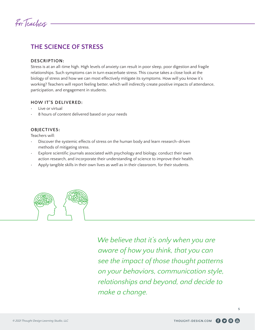

## **THE SCIENCE OF STRESS**

#### **DESCRIPTION:**

Stress is at an all-time high. High levels of anxiety can result in poor sleep, poor digestion and fragile relationships. Such symptoms can in turn exacerbate stress. This course takes a close look at the biology of stress and how we can most effectively mitigate its symptoms. How will you know it's working? Teachers will report feeling better, which will indirectly create positive impacts of attendance, participation, and engagement in students.

#### **HOW IT'S DELIVERED:**

- Live or virtual
- 8 hours of content delivered based on your needs

#### **OBJECTIVES:**

Teachers will:

- Discover the systemic effects of stress on the human body and learn research-driven methods of mitigating stress.
- Explore scientific journals associated with psychology and biology, conduct their own action research, and incorporate their understanding of science to improve their health.
- Apply tangible skills in their own lives as well as in their classroom, for their students.



*We believe that it's only when you are aware of how you think, that you can see the impact of those thought patterns on your behaviors, communication style, relationships and beyond, and decide to make a change.*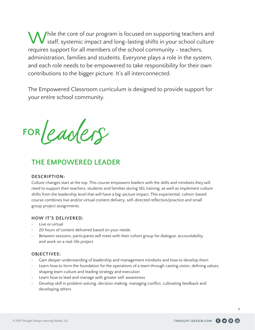While the core of our program is focused on supporting teachers and<br>
staff, systemic impact and long-lasting shifts in your school culture requires support for all members of the school community - teachers, administration, families and students. Everyone plays a role in the system, and each role needs to be empowered to take responsibility for their own contributions to the bigger picture. It's all interconnected.

The Empowered Classroom curriculum is designed to provide support for your entire school community.

**FOR***Leaders*

## **THE EMPOWERED LEADER**

#### **DESCRIPTION:**

Culture changes start at the top. This course empowers leaders with the skills and mindsets they will need to support their teachers, students and families during SEL training, as well as implement culture shifts from the leadership level that will have a big-picture impact. This experiential, cohort-based course combines live and/or virtual content delivery, self-directed reflection/practice and small group project assignments.

#### **HOW IT'S DELIVERED:**

- Live or virtual
- 20 hours of content delivered based on your needs
- Between sessions, participants will meet with their cohort group for dialogue, accountability and work on a real-life project

#### **OBJECTIVES:**

- Gain deeper understanding of leadership and management mindsets and how to develop them
- Learn how to form the foundation for the operations of a team through casting vision, defining values, shaping team culture and leading strategy and execution
- Learn how to lead and manage with greater self-awareness
- Develop skill in problem solving, decision making, managing conflict, cultivating feedback and developing others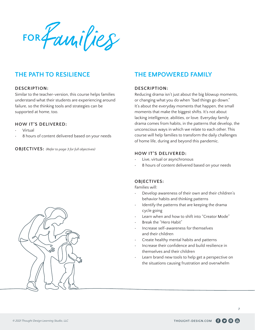**FOR***Families*

### **THE PATH TO RESILIENCE**

#### **DESCRIPTION:**

Similar to the teacher-version, this course helps families understand what their students are experiencing around failure, so the thinking tools and strategies can be supported at home, too.

#### **HOW IT'S DELIVERED:**

- Virtual
- 8 hours of content delivered based on your needs

**OBJECTIVES:** *(Refer to page 3 for full objectives)*

## **THE EMPOWERED FAMILY**

#### **DESCRIPTION:**

Reducing drama isn't just about the big blowup moments, or changing what you do when "bad things go down." It's about the everyday moments that happen, the small moments that make the biggest shifts. It's not about lacking intelligence, abilities, or love. Everyday family drama comes from habits, in the patterns that develop, the unconscious ways in which we relate to each other. This course will help families to transform the daily challenges of home life, during and beyond this pandemic.

#### **HOW IT'S DELIVERED:**

- Live, virtual or asynchronous
- 8 hours of content delivered based on your needs

#### **OBJECTIVES:**

Families will:

- Develop awareness of their own and their children's behavior habits and thinking patterns
- Identify the patterns that are keeping the drama cycle going
- Learn when and how to shift into "Creator Mode"
- Break the "Hero Habit"
- Increase self-awareness for themselves and their children
- Create healthy mental habits and patterns
- Increase their confidence and build resilience in themselves and their children
- Learn brand new tools to help get a perspective on the situations causing frustration and overwhelm



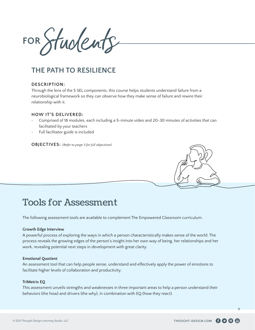**FOR***Students*

## **THE PATH TO RESILIENCE**

#### **DESCRIPTION:**

Through the lens of the 5 SEL components, this course helps students understand failure from a neurobiological framework so they can observe how they make sense of failure and rewire their relationship with it.

#### **HOW IT'S DELIVERED:**

- Comprised of 18 modules, each including a 5-minute video and 20-30 minutes of activities that can facilitated by your teachers
- Full facilitator guide is included

**OBJECTIVES:** *(Refer to page 3 for full objectives)*



## Tools for Assessment

The following assessment tools are available to complement The Empowered Classroom curriculum.

#### **Growth Edge Interview**

A powerful process of exploring the ways in which a person characteristically makes sense of the world. The process reveals the growing edges of the person's insight into her own way of being, her relationships and her work, revealing potential next steps in development with great clarity.

#### **Emotional Quotient**

An assessment tool that can help people sense, understand and effectively apply the power of emotions to facilitate higher levels of collaboration and productivity.

#### **TriMetrix EQ**

This assessment unveils strengths and weaknesses in three important areas to help a person understand their behaviors (the how) and drivers (the why), in combination with EQ (how they react).